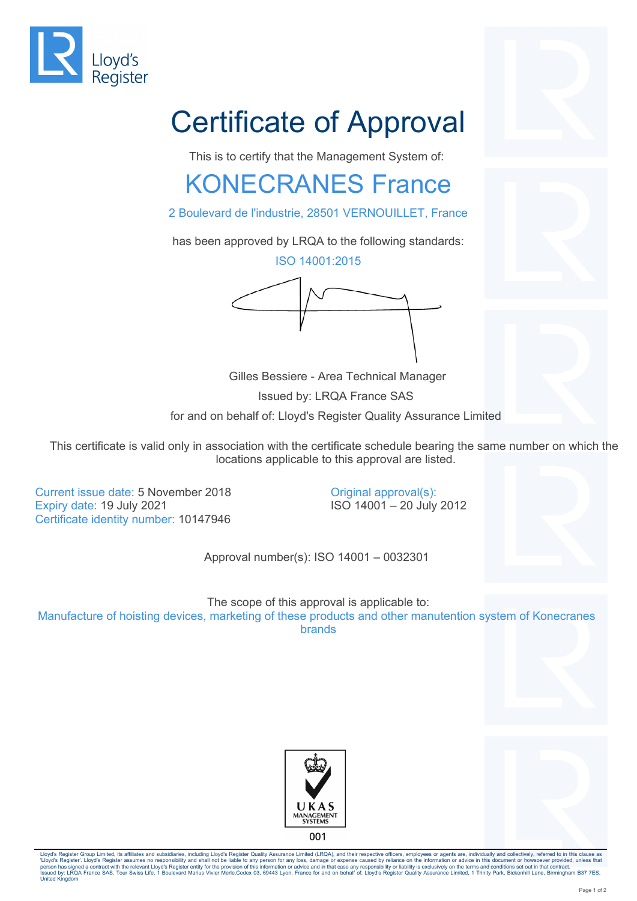

## Certificate of Approval

This is to certify that the Management System of:

## KONECRANES France

2 Boulevard de l'industrie, 28501 VERNOUILLET, France

has been approved by LRQA to the following standards:

ISO 14001:2015



 Gilles Bessiere - Area Technical Manager Issued by: LRQA France SAS for and on behalf of: Lloyd's Register Quality Assurance Limited

This certificate is valid only in association with the certificate schedule bearing the same number on which the locations applicable to this approval are listed.

> Original approval(s): ISO 14001 – 20 July 2012

Current issue date: 5 November 2018 Expiry date: 19 July 2021 Certificate identity number: 10147946

Approval number(s): ISO 14001 – 0032301

The scope of this approval is applicable to: Manufacture of hoisting devices, marketing of these products and other manutention system of Konecranes brands





Lloyd's Register Group Limited, its affiliates and subsidiaries, including Lloyd's Register Quality Assurance Limited (LRQA), and their respective officers, employees or agents are, individually and collectively, referred 'Lloyd's Register'. Lloyd's Register assumes no responsibility and shall not be liable to any person for any loss, damage or expense caused by reliance on the information or advice in this document or howsoever provided, u United Kingdom